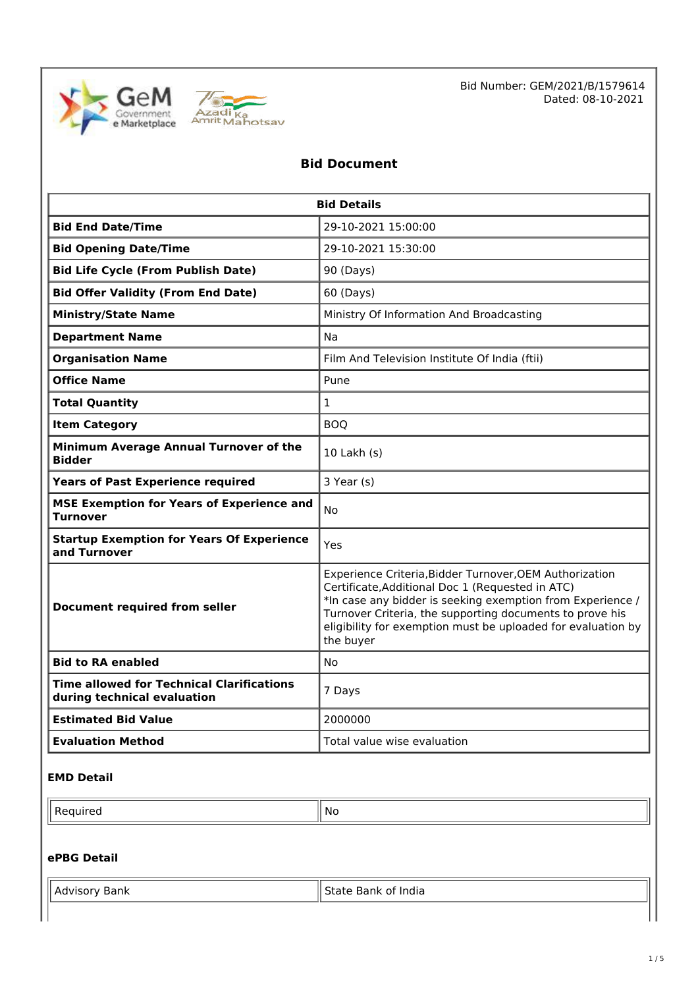



### **Bid Document**

| <b>Bid Details</b>                                                              |                                                                                                                                                                                                                                                                                                                    |  |  |  |
|---------------------------------------------------------------------------------|--------------------------------------------------------------------------------------------------------------------------------------------------------------------------------------------------------------------------------------------------------------------------------------------------------------------|--|--|--|
| <b>Bid End Date/Time</b>                                                        | 29-10-2021 15:00:00                                                                                                                                                                                                                                                                                                |  |  |  |
| <b>Bid Opening Date/Time</b>                                                    | 29-10-2021 15:30:00                                                                                                                                                                                                                                                                                                |  |  |  |
| <b>Bid Life Cycle (From Publish Date)</b>                                       | 90 (Days)                                                                                                                                                                                                                                                                                                          |  |  |  |
| <b>Bid Offer Validity (From End Date)</b>                                       | 60 (Days)                                                                                                                                                                                                                                                                                                          |  |  |  |
| <b>Ministry/State Name</b>                                                      | Ministry Of Information And Broadcasting                                                                                                                                                                                                                                                                           |  |  |  |
| <b>Department Name</b>                                                          | <b>Na</b>                                                                                                                                                                                                                                                                                                          |  |  |  |
| <b>Organisation Name</b>                                                        | Film And Television Institute Of India (ftii)                                                                                                                                                                                                                                                                      |  |  |  |
| <b>Office Name</b>                                                              | Pune                                                                                                                                                                                                                                                                                                               |  |  |  |
| <b>Total Quantity</b>                                                           | $\mathbf{1}$                                                                                                                                                                                                                                                                                                       |  |  |  |
| <b>Item Category</b>                                                            | <b>BOO</b>                                                                                                                                                                                                                                                                                                         |  |  |  |
| Minimum Average Annual Turnover of the<br><b>Bidder</b>                         | $10$ Lakh $(s)$                                                                                                                                                                                                                                                                                                    |  |  |  |
| <b>Years of Past Experience required</b>                                        | 3 Year (s)                                                                                                                                                                                                                                                                                                         |  |  |  |
| <b>MSE Exemption for Years of Experience and</b><br>Turnover                    | No                                                                                                                                                                                                                                                                                                                 |  |  |  |
| <b>Startup Exemption for Years Of Experience</b><br>and Turnover                | Yes                                                                                                                                                                                                                                                                                                                |  |  |  |
| Document required from seller                                                   | Experience Criteria, Bidder Turnover, OEM Authorization<br>Certificate, Additional Doc 1 (Requested in ATC)<br>*In case any bidder is seeking exemption from Experience /<br>Turnover Criteria, the supporting documents to prove his<br>eligibility for exemption must be uploaded for evaluation by<br>the buyer |  |  |  |
| <b>Bid to RA enabled</b>                                                        | No                                                                                                                                                                                                                                                                                                                 |  |  |  |
| <b>Time allowed for Technical Clarifications</b><br>during technical evaluation | 7 Days                                                                                                                                                                                                                                                                                                             |  |  |  |
| <b>Estimated Bid Value</b>                                                      | 2000000                                                                                                                                                                                                                                                                                                            |  |  |  |
| <b>Evaluation Method</b>                                                        | Total value wise evaluation                                                                                                                                                                                                                                                                                        |  |  |  |

#### **EMD Detail**

 $\blacksquare$  Required  $\blacksquare$  No

## **ePBG Detail**

| Ш<br>$\sim$<br>Ш<br>$\cdots$ | . |
|------------------------------|---|
|                              |   |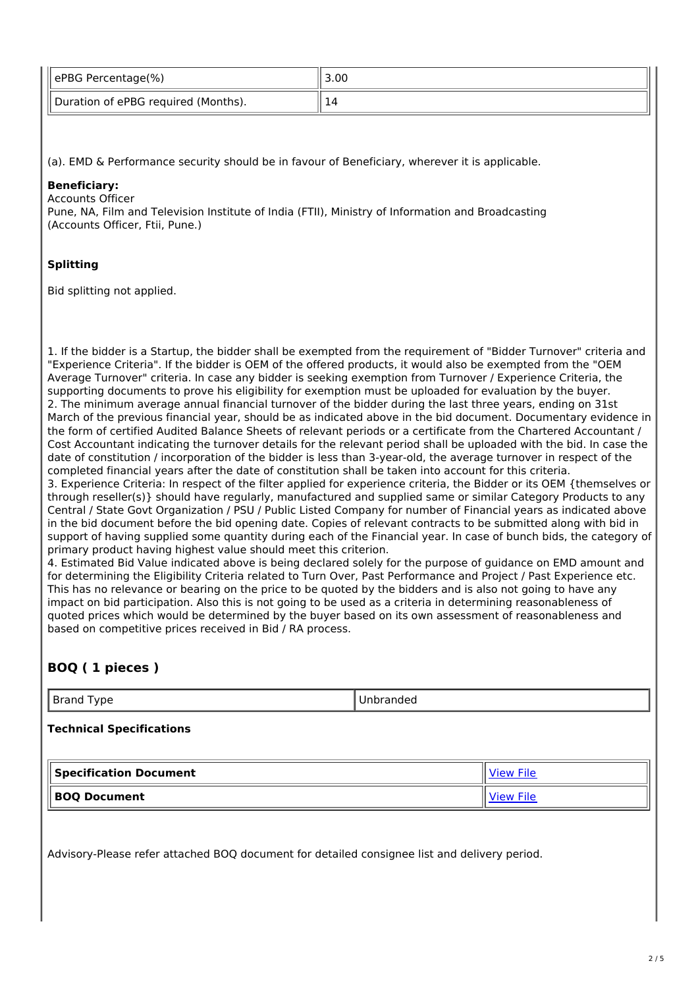| ePBG Percentage(%)                  | 3.00 |
|-------------------------------------|------|
| Duration of ePBG required (Months). |      |

(a). EMD & Performance security should be in favour of Beneficiary, wherever it is applicable.

#### **Beneficiary:**

Accounts Officer

Pune, NA, Film and Television Institute of India (FTII), Ministry of Information and Broadcasting (Accounts Officer, Ftii, Pune.)

#### **Splitting**

Bid splitting not applied.

1. If the bidder is a Startup, the bidder shall be exempted from the requirement of "Bidder Turnover" criteria and "Experience Criteria". If the bidder is OEM of the offered products, it would also be exempted from the "OEM Average Turnover" criteria. In case any bidder is seeking exemption from Turnover / Experience Criteria, the supporting documents to prove his eligibility for exemption must be uploaded for evaluation by the buyer. 2. The minimum average annual financial turnover of the bidder during the last three years, ending on 31st March of the previous financial year, should be as indicated above in the bid document. Documentary evidence in the form of certified Audited Balance Sheets of relevant periods or a certificate from the Chartered Accountant / Cost Accountant indicating the turnover details for the relevant period shall be uploaded with the bid. In case the date of constitution / incorporation of the bidder is less than 3-year-old, the average turnover in respect of the completed financial years after the date of constitution shall be taken into account for this criteria. 3. Experience Criteria: In respect of the filter applied for experience criteria, the Bidder or its OEM {themselves or through reseller(s)} should have regularly, manufactured and supplied same or similar Category Products to any Central / State Govt Organization / PSU / Public Listed Company for number of Financial years as indicated above in the bid document before the bid opening date. Copies of relevant contracts to be submitted along with bid in support of having supplied some quantity during each of the Financial year. In case of bunch bids, the category of primary product having highest value should meet this criterion.

4. Estimated Bid Value indicated above is being declared solely for the purpose of guidance on EMD amount and for determining the Eligibility Criteria related to Turn Over, Past Performance and Project / Past Experience etc. This has no relevance or bearing on the price to be quoted by the bidders and is also not going to have any impact on bid participation. Also this is not going to be used as a criteria in determining reasonableness of quoted prices which would be determined by the buyer based on its own assessment of reasonableness and based on competitive prices received in Bid / RA process.

### **BOQ ( 1 pieces )**

Brand Type **Disk Report Control** Unbranded

**Technical Specifications**

| Specification Document | ۱۵۱۸) |
|------------------------|-------|
| <b>BOQ Document</b>    | 110۱۸ |

Advisory-Please refer attached BOQ document for detailed consignee list and delivery period.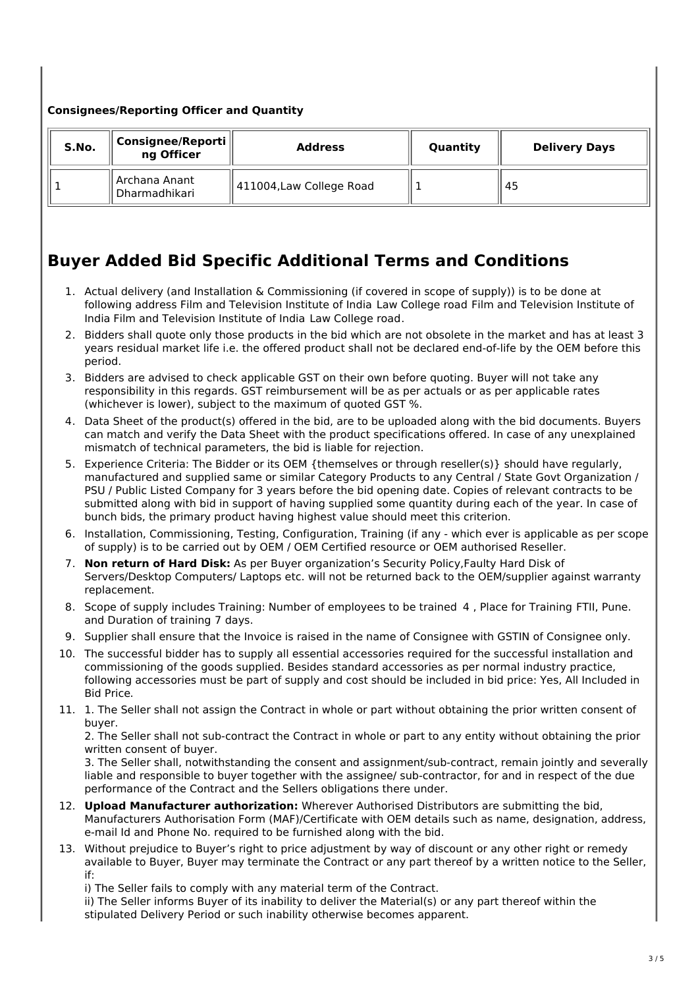#### **Consignees/Reporting Officer and Quantity**

| S.No. | Consignee/Reporti<br>ng Officer | <b>Address</b>           | Quantity | <b>Delivery Days</b> |
|-------|---------------------------------|--------------------------|----------|----------------------|
|       | Archana Anant<br>Dharmadhikari  | 411004, Law College Road |          | 45                   |

## **Buyer Added Bid Specific Additional Terms and Conditions**

- 1. Actual delivery (and Installation & Commissioning (if covered in scope of supply)) is to be done at following address Film and Television Institute of India Law College road Film and Television Institute of India Film and Television Institute of India Law College road.
- 2. Bidders shall quote only those products in the bid which are not obsolete in the market and has at least 3 years residual market life i.e. the offered product shall not be declared end-of-life by the OEM before this period.
- 3. Bidders are advised to check applicable GST on their own before quoting. Buyer will not take any responsibility in this regards. GST reimbursement will be as per actuals or as per applicable rates (whichever is lower), subject to the maximum of quoted GST %.
- 4. Data Sheet of the product(s) offered in the bid, are to be uploaded along with the bid documents. Buyers can match and verify the Data Sheet with the product specifications offered. In case of any unexplained mismatch of technical parameters, the bid is liable for rejection.
- 5. Experience Criteria: The Bidder or its OEM {themselves or through reseller(s)} should have regularly, manufactured and supplied same or similar Category Products to any Central / State Govt Organization / PSU / Public Listed Company for 3 years before the bid opening date. Copies of relevant contracts to be submitted along with bid in support of having supplied some quantity during each of the year. In case of bunch bids, the primary product having highest value should meet this criterion.
- 6. Installation, Commissioning, Testing, Configuration, Training (if any which ever is applicable as per scope of supply) is to be carried out by OEM / OEM Certified resource or OEM authorised Reseller.
- 7. **Non return of Hard Disk:** As per Buyer organization's Security Policy,Faulty Hard Disk of Servers/Desktop Computers/ Laptops etc. will not be returned back to the OEM/supplier against warranty replacement.
- 8. Scope of supply includes Training: Number of employees to be trained 4 , Place for Training FTII, Pune. and Duration of training 7 days.
- 9. Supplier shall ensure that the Invoice is raised in the name of Consignee with GSTIN of Consignee only.
- 10. The successful bidder has to supply all essential accessories required for the successful installation and commissioning of the goods supplied. Besides standard accessories as per normal industry practice, following accessories must be part of supply and cost should be included in bid price: Yes, All Included in Bid Price.
- 11. 1. The Seller shall not assign the Contract in whole or part without obtaining the prior written consent of buyer.

2. The Seller shall not sub-contract the Contract in whole or part to any entity without obtaining the prior written consent of buyer.

3. The Seller shall, notwithstanding the consent and assignment/sub-contract, remain jointly and severally liable and responsible to buyer together with the assignee/ sub-contractor, for and in respect of the due performance of the Contract and the Sellers obligations there under.

- 12. **Upload Manufacturer authorization:** Wherever Authorised Distributors are submitting the bid, Manufacturers Authorisation Form (MAF)/Certificate with OEM details such as name, designation, address, e-mail Id and Phone No. required to be furnished along with the bid.
- 13. Without prejudice to Buyer's right to price adjustment by way of discount or any other right or remedy available to Buyer, Buyer may terminate the Contract or any part thereof by a written notice to the Seller, if:
	- i) The Seller fails to comply with any material term of the Contract.

ii) The Seller informs Buyer of its inability to deliver the Material(s) or any part thereof within the stipulated Delivery Period or such inability otherwise becomes apparent.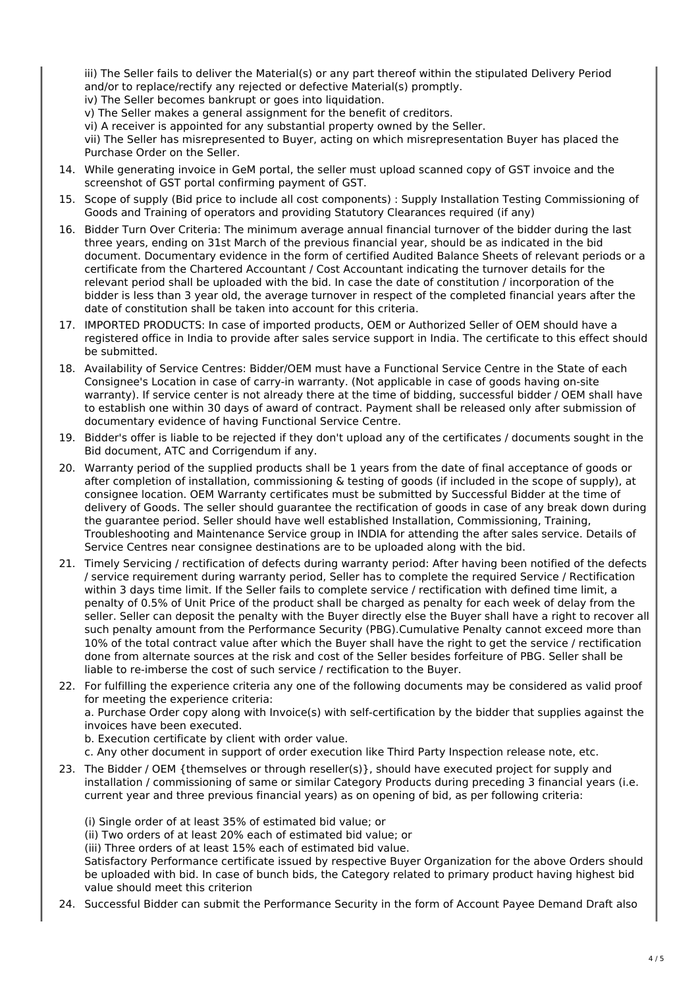iii) The Seller fails to deliver the Material(s) or any part thereof within the stipulated Delivery Period and/or to replace/rectify any rejected or defective Material(s) promptly.

iv) The Seller becomes bankrupt or goes into liquidation.

- v) The Seller makes a general assignment for the benefit of creditors.
- vi) A receiver is appointed for any substantial property owned by the Seller.

vii) The Seller has misrepresented to Buyer, acting on which misrepresentation Buyer has placed the Purchase Order on the Seller.

- 14. While generating invoice in GeM portal, the seller must upload scanned copy of GST invoice and the screenshot of GST portal confirming payment of GST.
- 15. Scope of supply (Bid price to include all cost components) : Supply Installation Testing Commissioning of Goods and Training of operators and providing Statutory Clearances required (if any)
- 16. Bidder Turn Over Criteria: The minimum average annual financial turnover of the bidder during the last three years, ending on 31st March of the previous financial year, should be as indicated in the bid document. Documentary evidence in the form of certified Audited Balance Sheets of relevant periods or a certificate from the Chartered Accountant / Cost Accountant indicating the turnover details for the relevant period shall be uploaded with the bid. In case the date of constitution / incorporation of the bidder is less than 3 year old, the average turnover in respect of the completed financial years after the date of constitution shall be taken into account for this criteria.
- 17. IMPORTED PRODUCTS: In case of imported products, OEM or Authorized Seller of OEM should have a registered office in India to provide after sales service support in India. The certificate to this effect should be submitted.
- 18. Availability of Service Centres: Bidder/OEM must have a Functional Service Centre in the State of each Consignee's Location in case of carry-in warranty. (Not applicable in case of goods having on-site warranty). If service center is not already there at the time of bidding, successful bidder / OEM shall have to establish one within 30 days of award of contract. Payment shall be released only after submission of documentary evidence of having Functional Service Centre.
- 19. Bidder's offer is liable to be rejected if they don't upload any of the certificates / documents sought in the Bid document, ATC and Corrigendum if any.
- 20. Warranty period of the supplied products shall be 1 years from the date of final acceptance of goods or after completion of installation, commissioning & testing of goods (if included in the scope of supply), at consignee location. OEM Warranty certificates must be submitted by Successful Bidder at the time of delivery of Goods. The seller should guarantee the rectification of goods in case of any break down during the guarantee period. Seller should have well established Installation, Commissioning, Training, Troubleshooting and Maintenance Service group in INDIA for attending the after sales service. Details of Service Centres near consignee destinations are to be uploaded along with the bid.
- 21. Timely Servicing / rectification of defects during warranty period: After having been notified of the defects / service requirement during warranty period, Seller has to complete the required Service / Rectification within 3 days time limit. If the Seller fails to complete service / rectification with defined time limit, a penalty of 0.5% of Unit Price of the product shall be charged as penalty for each week of delay from the seller. Seller can deposit the penalty with the Buyer directly else the Buyer shall have a right to recover all such penalty amount from the Performance Security (PBG).Cumulative Penalty cannot exceed more than 10% of the total contract value after which the Buyer shall have the right to get the service / rectification done from alternate sources at the risk and cost of the Seller besides forfeiture of PBG. Seller shall be liable to re-imberse the cost of such service / rectification to the Buyer.
- 22. For fulfilling the experience criteria any one of the following documents may be considered as valid proof for meeting the experience criteria:

a. Purchase Order copy along with Invoice(s) with self-certification by the bidder that supplies against the invoices have been executed.

b. Execution certificate by client with order value.

- c. Any other document in support of order execution like Third Party Inspection release note, etc.
- 23. The Bidder / OEM {themselves or through reseller(s)}, should have executed project for supply and installation / commissioning of same or similar Category Products during preceding 3 financial years (i.e. current year and three previous financial years) as on opening of bid, as per following criteria:

(i) Single order of at least 35% of estimated bid value; or

(ii) Two orders of at least 20% each of estimated bid value; or

(iii) Three orders of at least 15% each of estimated bid value.

Satisfactory Performance certificate issued by respective Buyer Organization for the above Orders should be uploaded with bid. In case of bunch bids, the Category related to primary product having highest bid value should meet this criterion

24. Successful Bidder can submit the Performance Security in the form of Account Payee Demand Draft also